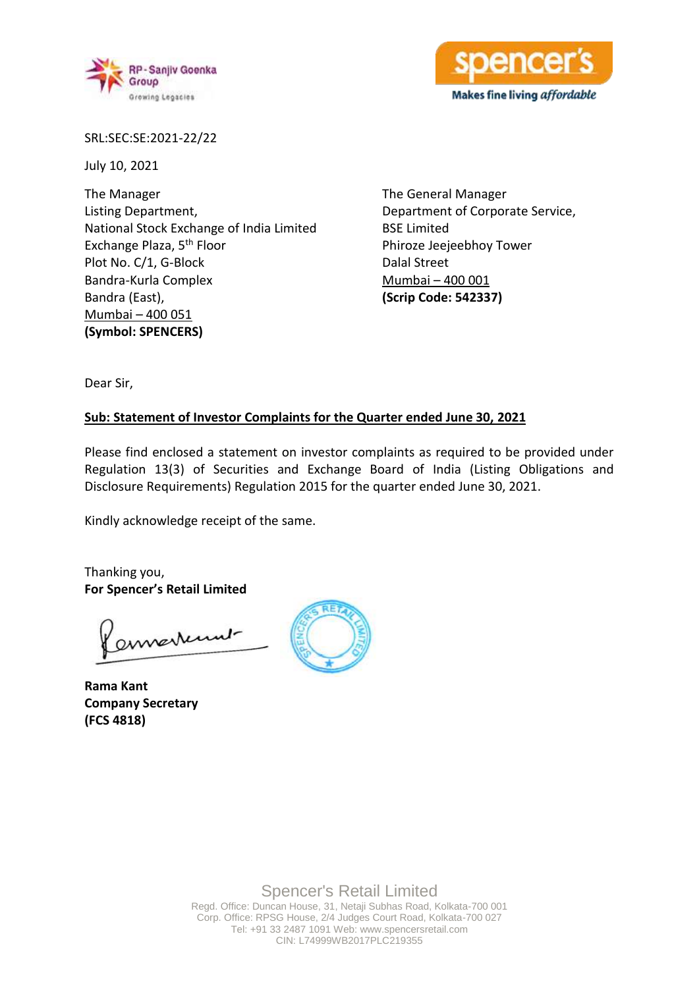



SRL:SEC:SE:2021-22/22

July 10, 2021

The Manager Listing Department, National Stock Exchange of India Limited Exchange Plaza, 5th Floor Plot No. C/1, G-Block Bandra-Kurla Complex Bandra (East), Mumbai – 400 051 **(Symbol: SPENCERS)**

The General Manager Department of Corporate Service, BSE Limited Phiroze Jeejeebhoy Tower Dalal Street Mumbai – 400 001 **(Scrip Code: 542337)**

Dear Sir,

## **Sub: Statement of Investor Complaints for the Quarter ended June 30, 2021**

Please find enclosed a statement on investor complaints as required to be provided under Regulation 13(3) of Securities and Exchange Board of India (Listing Obligations and Disclosure Requirements) Regulation 2015 for the quarter ended June 30, 2021.

Kindly acknowledge receipt of the same.

Thanking you, **For Spencer's Retail Limited**

enverture

**Rama Kant Company Secretary (FCS 4818)**

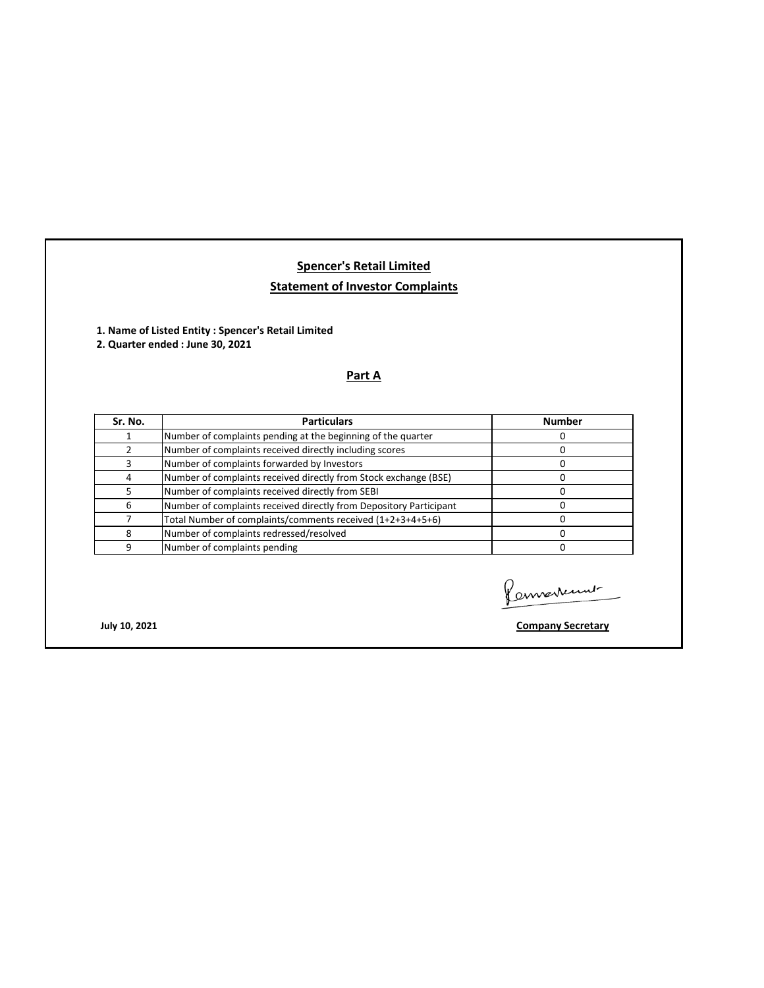## **Spencer's Retail Limited Statement of Investor Complaints**

**1. Name of Listed Entity : Spencer's Retail Limited** 

**2. Quarter ended : June 30, 2021**

## **Part A**

| Sr. No. | <b>Particulars</b>                                                 | <b>Number</b> |
|---------|--------------------------------------------------------------------|---------------|
|         | Number of complaints pending at the beginning of the quarter       |               |
|         | Number of complaints received directly including scores            |               |
|         | Number of complaints forwarded by Investors                        |               |
|         | Number of complaints received directly from Stock exchange (BSE)   |               |
|         | Number of complaints received directly from SEBI                   |               |
| 6       | Number of complaints received directly from Depository Participant |               |
|         | Total Number of complaints/comments received (1+2+3+4+5+6)         |               |
| 8       | Number of complaints redressed/resolved                            |               |
| q       | Number of complaints pending                                       |               |

Connertement

**July 10, 2021 Company Secretary**